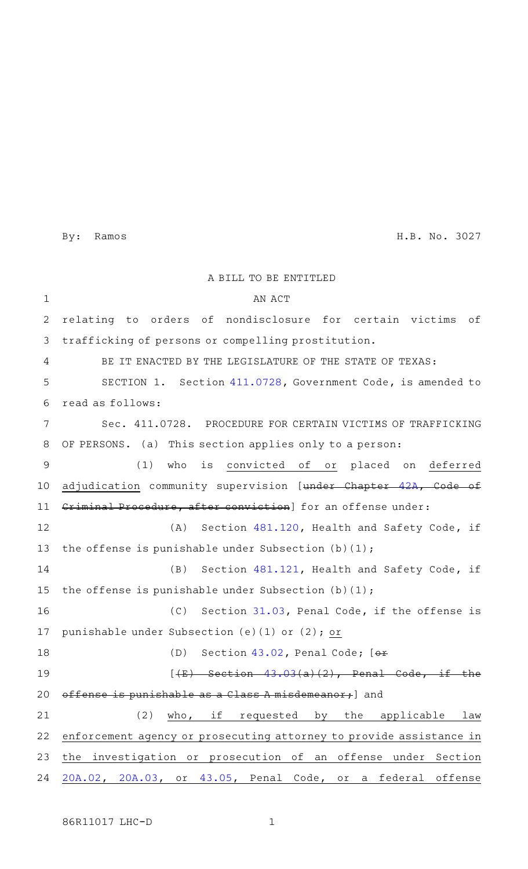By: Ramos H.B. No. 3027

|                | A BILL TO BE ENTITLED                                                                 |
|----------------|---------------------------------------------------------------------------------------|
| $\mathbf 1$    | AN ACT                                                                                |
| 2              | relating to orders of nondisclosure for certain victims<br>оf                         |
| 3              | trafficking of persons or compelling prostitution.                                    |
| 4              | BE IT ENACTED BY THE LEGISLATURE OF THE STATE OF TEXAS:                               |
| 5              | SECTION 1. Section 411.0728, Government Code, is amended to                           |
| 6              | read as follows:                                                                      |
| 7              | Sec. 411.0728. PROCEDURE FOR CERTAIN VICTIMS OF TRAFFICKING                           |
| 8              | OF PERSONS. (a) This section applies only to a person:                                |
| $\overline{9}$ | is convicted of or placed on deferred<br>(1)<br>who                                   |
| 10             | adjudication community supervision [under Chapter 42A, Code<br>⊖£                     |
| 11             | Criminal Procedure, after conviction] for an offense under:                           |
| 12             | (A) Section 481.120, Health and Safety Code, if                                       |
| 13             | the offense is punishable under Subsection (b)(1);                                    |
| 14             | (B)<br>Section 481.121, Health and Safety Code, if                                    |
| 15             | the offense is punishable under Subsection $(b)(1)$ ;                                 |
| 16             | (C)<br>Section 31.03, Penal Code, if the offense is                                   |
| 17             | punishable under Subsection (e)(1) or (2); or                                         |
| 18             | (D)<br>Section $43.02$ , Penal Code; $[01 +$                                          |
| 19             | $\sqrt{3}$ 0.3<br>$(2)$ . Penal Code, if the<br>$\frac{1}{1}$<br>$S$ of $\frac{1}{2}$ |
| 20             | is punishable as a Class A misdemeanor, and<br>effense                                |
| 21             | (2)<br>who, if requested by the applicable<br>law                                     |
| 22             | enforcement agency or prosecuting attorney to provide assistance in                   |
| 23             | the investigation or prosecution of an offense under Section                          |
| 24             | 20A.02, 20A.03, or 43.05, Penal Code, or a federal offense                            |

86R11017 LHC-D 1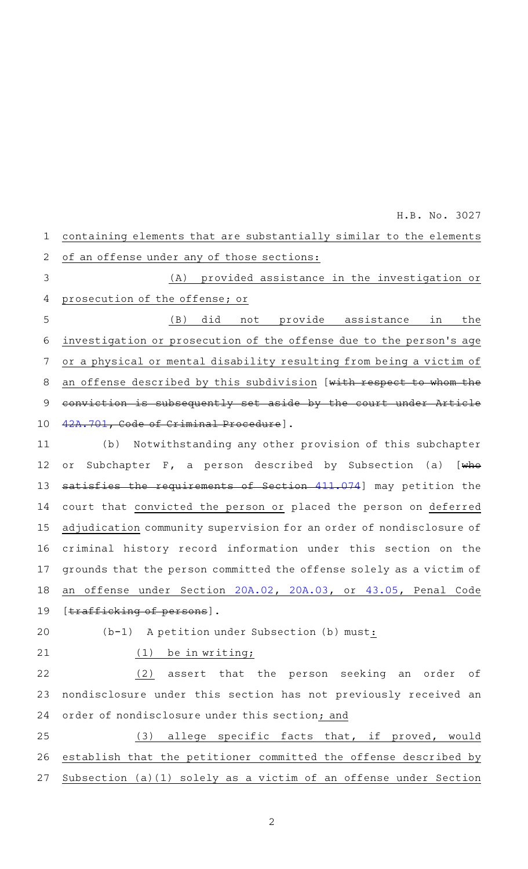containing elements that are substantially similar to the elements of an offense under any of those sections: (A) provided assistance in the investigation or prosecution of the offense; or (B) did not provide assistance in the investigation or prosecution of the offense due to the person 's age or a physical or mental disability resulting from being a victim of an offense described by this subdivision [with respect to whom the conviction is subsequently set aside by the court under Article [42A.701,](http://www.statutes.legis.state.tx.us/GetStatute.aspx?Code=CR&Value=42A.701&Date=3/4/2019) Code of Criminal Procedure]. (b) Notwithstanding any other provision of this subchapter or Subchapter F, a person described by Subsection (a) [who satisfies the requirements of Section [411.074](http://www.statutes.legis.state.tx.us/GetStatute.aspx?Code=GV&Value=411.074&Date=3/4/2019)] may petition the court that convicted the person or placed the person on deferred adjudication community supervision for an order of nondisclosure of criminal history record information under this section on the grounds that the person committed the offense solely as a victim of an offense under Section [20A.02](http://www.statutes.legis.state.tx.us/GetStatute.aspx?Code=PE&Value=20A.02&Date=3/4/2019), [20A.03,](http://www.statutes.legis.state.tx.us/GetStatute.aspx?Code=PE&Value=20A.03&Date=3/4/2019) or [43.05,](http://www.statutes.legis.state.tx.us/GetStatute.aspx?Code=PE&Value=43.05&Date=3/4/2019) Penal Code [trafficking of persons]. (b-1) A petition under Subsection (b) must: 1 2 3 4 5 6 7 8 9 10 11 12 13 14 15 16 17 18 19 20

H.B. No. 3027

21

(1) be in writing;

(2) assert that the person seeking an order of nondisclosure under this section has not previously received an order of nondisclosure under this section; and 22 23 24

(3) allege specific facts that, if proved, would establish that the petitioner committed the offense described by Subsection (a)(1) solely as a victim of an offense under Section 25 26 27

2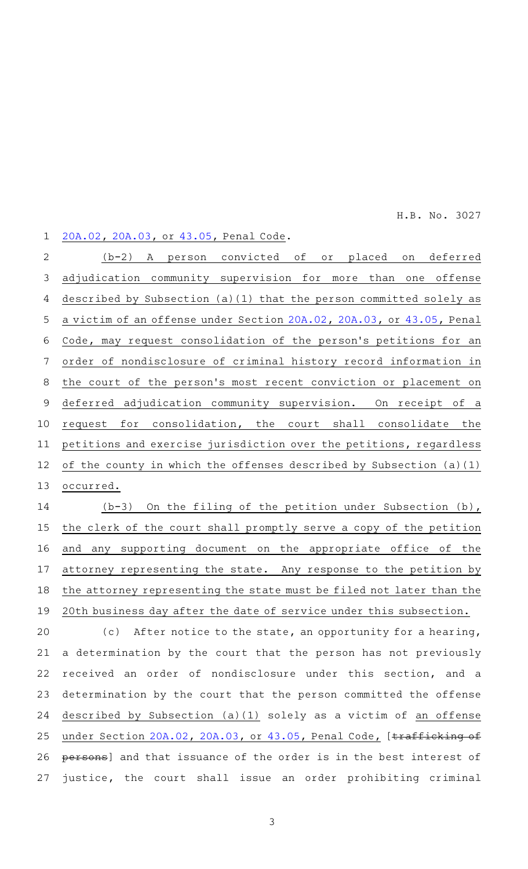H.B. No. 3027

## [20A.02](http://www.statutes.legis.state.tx.us/GetStatute.aspx?Code=PE&Value=20A.02&Date=3/4/2019), [20A.03](http://www.statutes.legis.state.tx.us/GetStatute.aspx?Code=PE&Value=20A.03&Date=3/4/2019), or [43.05,](http://www.statutes.legis.state.tx.us/GetStatute.aspx?Code=PE&Value=43.05&Date=3/4/2019) Penal Code. 1

(b-2) A person convicted of or placed on deferred adjudication community supervision for more than one offense described by Subsection (a)(1) that the person committed solely as a victim of an offense under Section [20A.02](http://www.statutes.legis.state.tx.us/GetStatute.aspx?Code=PE&Value=20A.02&Date=3/4/2019), [20A.03](http://www.statutes.legis.state.tx.us/GetStatute.aspx?Code=PE&Value=20A.03&Date=3/4/2019), or [43.05,](http://www.statutes.legis.state.tx.us/GetStatute.aspx?Code=PE&Value=43.05&Date=3/4/2019) Penal Code, may request consolidation of the person 's petitions for an order of nondisclosure of criminal history record information in the court of the person 's most recent conviction or placement on deferred adjudication community supervision. On receipt of a request for consolidation, the court shall consolidate the petitions and exercise jurisdiction over the petitions, regardless of the county in which the offenses described by Subsection (a)(1) occurred. 2 3 4 5 6 7 8 9 10 11 12 13

( $b-3$ ) On the filing of the petition under Subsection (b), the clerk of the court shall promptly serve a copy of the petition and any supporting document on the appropriate office of the attorney representing the state. Any response to the petition by the attorney representing the state must be filed not later than the 20th business day after the date of service under this subsection. 14 15 16 17 18 19

 $(c)$  After notice to the state, an opportunity for a hearing, a determination by the court that the person has not previously received an order of nondisclosure under this section, and a determination by the court that the person committed the offense described by Subsection (a)(1) solely as a victim of an offense under Section [20A.02,](http://www.statutes.legis.state.tx.us/GetStatute.aspx?Code=PE&Value=20A.02&Date=3/4/2019) [20A.03,](http://www.statutes.legis.state.tx.us/GetStatute.aspx?Code=PE&Value=20A.03&Date=3/4/2019) or [43.05,](http://www.statutes.legis.state.tx.us/GetStatute.aspx?Code=PE&Value=43.05&Date=3/4/2019) Penal Code, [trafficking of persons] and that issuance of the order is in the best interest of justice, the court shall issue an order prohibiting criminal 20 21 22 23 24 25 26 27

3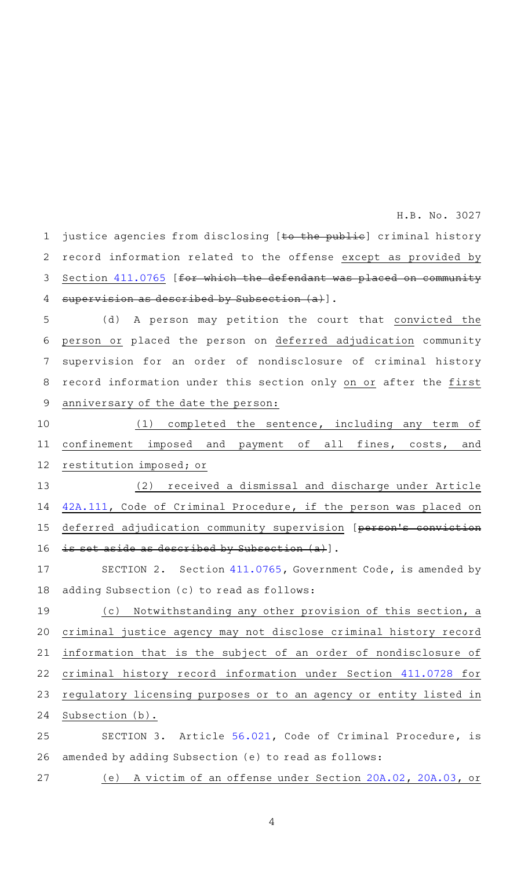H.B. No. 3027

justice agencies from disclosing [to the public] criminal history record information related to the offense except as provided by Section [411.0765](http://www.statutes.legis.state.tx.us/GetStatute.aspx?Code=GV&Value=411.0765&Date=3/4/2019) [for which the defendant was placed on community supervision as described by Subsection  $(a)$ ]. 1 2 3 4

(d) A person may petition the court that convicted the person or placed the person on deferred adjudication community supervision for an order of nondisclosure of criminal history record information under this section only on or after the first anniversary of the date the person: 5 6 7 8 9

 $(1)$  completed the sentence, including any term of confinement imposed and payment of all fines, costs, and restitution imposed; or 10 11 12

(2) received a dismissal and discharge under Article [42A.111,](http://www.statutes.legis.state.tx.us/GetStatute.aspx?Code=CR&Value=42A.111&Date=3/4/2019) Code of Criminal Procedure, if the person was placed on deferred adjudication community supervision [person's is set aside as described by Subsection (a)]. 13 14 15 16

SECTION 2. Section [411.0765,](http://www.statutes.legis.state.tx.us/GetStatute.aspx?Code=GV&Value=411.0765&Date=3/4/2019) Government Code, is amended by adding Subsection (c) to read as follows: 17 18

(c) Notwithstanding any other provision of this section, a criminal justice agency may not disclose criminal history record information that is the subject of an order of nondisclosure of criminal history record information under Section [411.0728](http://www.statutes.legis.state.tx.us/GetStatute.aspx?Code=GV&Value=411.0728&Date=3/4/2019) for regulatory licensing purposes or to an agency or entity listed in Subsection (b). 19 20 21 22 23 24

SECTION 3. Article [56.021](http://www.statutes.legis.state.tx.us/GetStatute.aspx?Code=CR&Value=56.021&Date=3/4/2019), Code of Criminal Procedure, is amended by adding Subsection (e) to read as follows: 25 26

(e) A victim of an offense under Section [20A.02](http://www.statutes.legis.state.tx.us/GetStatute.aspx?Code=PE&Value=20A.02&Date=3/4/2019), [20A.03](http://www.statutes.legis.state.tx.us/GetStatute.aspx?Code=PE&Value=20A.03&Date=3/4/2019), or 27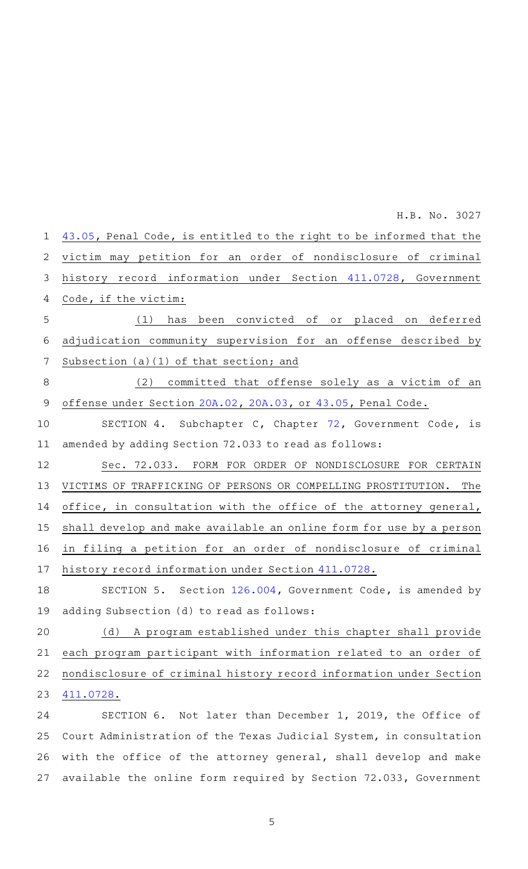[43.05,](http://www.statutes.legis.state.tx.us/GetStatute.aspx?Code=PE&Value=43.05&Date=3/4/2019) Penal Code, is entitled to the right to be informed that the victim may petition for an order of nondisclosure of criminal history record information under Section [411.0728](http://www.statutes.legis.state.tx.us/GetStatute.aspx?Code=GV&Value=411.0728&Date=3/4/2019), Government Code, if the victim: (1) has been convicted of or placed on deferred adjudication community supervision for an offense described by Subsection (a)(1) of that section; and (2) committed that offense solely as a victim of an offense under Section [20A.02,](http://www.statutes.legis.state.tx.us/GetStatute.aspx?Code=PE&Value=20A.02&Date=3/4/2019) [20A.03,](http://www.statutes.legis.state.tx.us/GetStatute.aspx?Code=PE&Value=20A.03&Date=3/4/2019) or [43.05](http://www.statutes.legis.state.tx.us/GetStatute.aspx?Code=PE&Value=43.05&Date=3/4/2019), Penal Code. SECTION 4. Subchapter C, Chapter [72](http://www.statutes.legis.state.tx.us/GetStatute.aspx?Code=GV&Value=72&Date=3/4/2019), Government Code, is amended by adding Section 72.033 to read as follows: Sec. 72.033. FORM FOR ORDER OF NONDISCLOSURE FOR CERTAIN VICTIMS OF TRAFFICKING OF PERSONS OR COMPELLING PROSTITUTION. The office, in consultation with the office of the attorney general, shall develop and make available an online form for use by a person in filing a petition for an order of nondisclosure of criminal history record information under Section [411.0728](http://www.statutes.legis.state.tx.us/GetStatute.aspx?Code=GV&Value=411.0728&Date=3/4/2019). SECTION 5. Section [126.004](http://www.statutes.legis.state.tx.us/GetStatute.aspx?Code=GV&Value=126.004&Date=3/4/2019), Government Code, is amended by adding Subsection (d) to read as follows: (d) A program established under this chapter shall provide each program participant with information related to an order of nondisclosure of criminal history record information under Section [411.0728](http://www.statutes.legis.state.tx.us/GetStatute.aspx?Code=GV&Value=411.0728&Date=3/4/2019). SECTION 6. Not later than December 1, 2019, the Office of 1 2 3 4 5 6 7 8 9 10 11 12 13 14 15 16 17 18 19 20 21 22 23 24 H.B. No. 3027

Court Administration of the Texas Judicial System, in consultation with the office of the attorney general, shall develop and make available the online form required by Section 72.033, Government 25 26 27

5